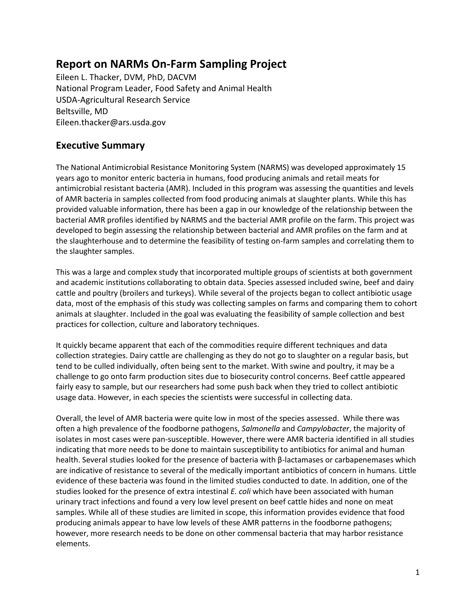# **Report on NARMs On-Farm Sampling Project**

Eileen L. Thacker, DVM, PhD, DACVM National Program Leader, Food Safety and Animal Health USDA-Agricultural Research Service Beltsville, MD Eileen.thacker@ars.usda.gov

# **Executive Summary**

The National Antimicrobial Resistance Monitoring System (NARMS) was developed approximately 15 years ago to monitor enteric bacteria in humans, food producing animals and retail meats for antimicrobial resistant bacteria (AMR). Included in this program was assessing the quantities and levels of AMR bacteria in samples collected from food producing animals at slaughter plants. While this has provided valuable information, there has been a gap in our knowledge of the relationship between the bacterial AMR profiles identified by NARMS and the bacterial AMR profile on the farm. This project was developed to begin assessing the relationship between bacterial and AMR profiles on the farm and at the slaughterhouse and to determine the feasibility of testing on-farm samples and correlating them to the slaughter samples.

This was a large and complex study that incorporated multiple groups of scientists at both government and academic institutions collaborating to obtain data. Species assessed included swine, beef and dairy cattle and poultry (broilers and turkeys). While several of the projects began to collect antibiotic usage data, most of the emphasis of this study was collecting samples on farms and comparing them to cohort animals at slaughter. Included in the goal was evaluating the feasibility of sample collection and best practices for collection, culture and laboratory techniques.

It quickly became apparent that each of the commodities require different techniques and data collection strategies. Dairy cattle are challenging as they do not go to slaughter on a regular basis, but tend to be culled individually, often being sent to the market. With swine and poultry, it may be a challenge to go onto farm production sites due to biosecurity control concerns. Beef cattle appeared fairly easy to sample, but our researchers had some push back when they tried to collect antibiotic usage data. However, in each species the scientists were successful in collecting data.

Overall, the level of AMR bacteria were quite low in most of the species assessed. While there was often a high prevalence of the foodborne pathogens, *Salmonella* and *Campylobacter*, the majority of isolates in most cases were pan-susceptible. However, there were AMR bacteria identified in all studies indicating that more needs to be done to maintain susceptibility to antibiotics for animal and human health. Several studies looked for the presence of bacteria with β-lactamases or carbapenemases which are indicative of resistance to several of the medically important antibiotics of concern in humans. Little evidence of these bacteria was found in the limited studies conducted to date. In addition, one of the studies looked for the presence of extra intestinal *E. coli* which have been associated with human urinary tract infections and found a very low level present on beef cattle hides and none on meat samples. While all of these studies are limited in scope, this information provides evidence that food producing animals appear to have low levels of these AMR patterns in the foodborne pathogens; however, more research needs to be done on other commensal bacteria that may harbor resistance elements.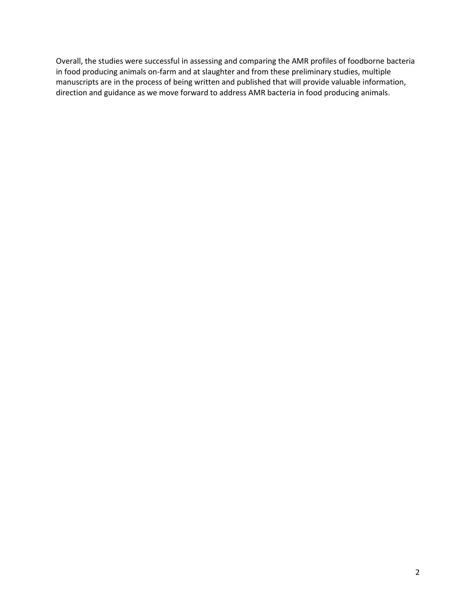Overall, the studies were successful in assessing and comparing the AMR profiles of foodborne bacteria in food producing animals on-farm and at slaughter and from these preliminary studies, multiple manuscripts are in the process of being written and published that will provide valuable information, direction and guidance as we move forward to address AMR bacteria in food producing animals.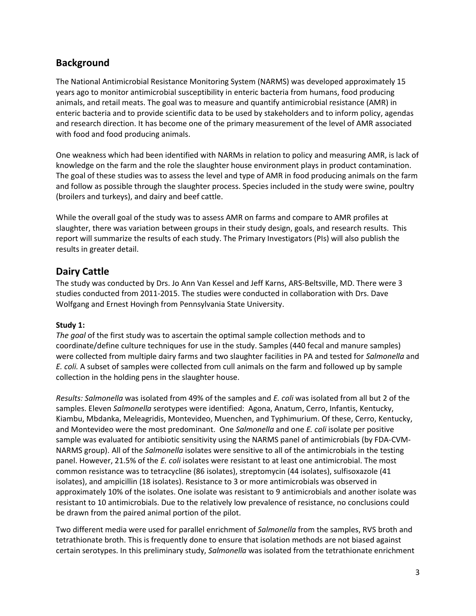# **Background**

The National Antimicrobial Resistance Monitoring System (NARMS) was developed approximately 15 years ago to monitor antimicrobial susceptibility in enteric bacteria from humans, food producing animals, and retail meats. The goal was to measure and quantify antimicrobial resistance (AMR) in enteric bacteria and to provide scientific data to be used by stakeholders and to inform policy, agendas and research direction. It has become one of the primary measurement of the level of AMR associated with food and food producing animals.

One weakness which had been identified with NARMs in relation to policy and measuring AMR, is lack of knowledge on the farm and the role the slaughter house environment plays in product contamination. The goal of these studies was to assess the level and type of AMR in food producing animals on the farm and follow as possible through the slaughter process. Species included in the study were swine, poultry (broilers and turkeys), and dairy and beef cattle.

While the overall goal of the study was to assess AMR on farms and compare to AMR profiles at slaughter, there was variation between groups in their study design, goals, and research results. This report will summarize the results of each study. The Primary Investigators (PIs) will also publish the results in greater detail.

# **Dairy Cattle**

The study was conducted by Drs. Jo Ann Van Kessel and Jeff Karns, ARS-Beltsville, MD. There were 3 studies conducted from 2011-2015. The studies were conducted in collaboration with Drs. Dave Wolfgang and Ernest Hovingh from Pennsylvania State University.

## **Study 1:**

*The goal* of the first study was to ascertain the optimal sample collection methods and to coordinate/define culture techniques for use in the study. Samples (440 fecal and manure samples) were collected from multiple dairy farms and two slaughter facilities in PA and tested for *Salmonella* and *E. coli.* A subset of samples were collected from cull animals on the farm and followed up by sample collection in the holding pens in the slaughter house.

*Results: Salmonella* was isolated from 49% of the samples and *E. coli* was isolated from all but 2 of the samples. Eleven *Salmonella* serotypes were identified: Agona, Anatum, Cerro, Infantis, Kentucky, Kiambu, Mbdanka, Meleagridis, Montevideo, Muenchen, and Typhimurium. Of these, Cerro, Kentucky, and Montevideo were the most predominant. One *Salmonella* and one *E. coli* isolate per positive sample was evaluated for antibiotic sensitivity using the NARMS panel of antimicrobials (by FDA-CVM-NARMS group). All of the *Salmonella* isolates were sensitive to all of the antimicrobials in the testing panel. However, 21.5% of the *E. coli* isolates were resistant to at least one antimicrobial. The most common resistance was to tetracycline (86 isolates), streptomycin (44 isolates), sulfisoxazole (41 isolates), and ampicillin (18 isolates). Resistance to 3 or more antimicrobials was observed in approximately 10% of the isolates. One isolate was resistant to 9 antimicrobials and another isolate was resistant to 10 antimicrobials. Due to the relatively low prevalence of resistance, no conclusions could be drawn from the paired animal portion of the pilot.

Two different media were used for parallel enrichment of *Salmonella* from the samples, RVS broth and tetrathionate broth. This is frequently done to ensure that isolation methods are not biased against certain serotypes. In this preliminary study, *Salmonella* was isolated from the tetrathionate enrichment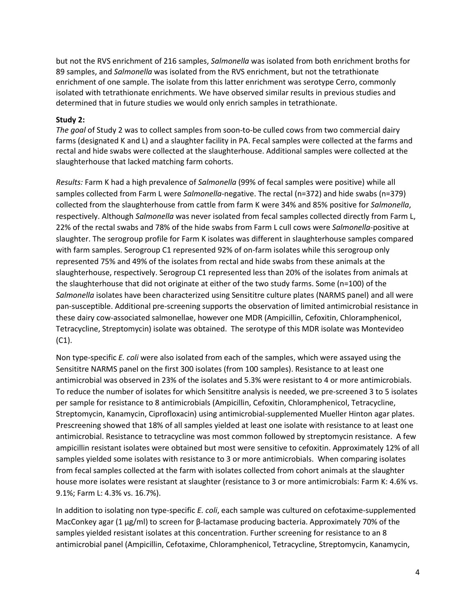but not the RVS enrichment of 216 samples, *Salmonella* was isolated from both enrichment broths for 89 samples, and *Salmonella* was isolated from the RVS enrichment, but not the tetrathionate enrichment of one sample. The isolate from this latter enrichment was serotype Cerro, commonly isolated with tetrathionate enrichments. We have observed similar results in previous studies and determined that in future studies we would only enrich samples in tetrathionate.

#### **Study 2:**

*The goal* of Study 2 was to collect samples from soon-to-be culled cows from two commercial dairy farms (designated K and L) and a slaughter facility in PA. Fecal samples were collected at the farms and rectal and hide swabs were collected at the slaughterhouse. Additional samples were collected at the slaughterhouse that lacked matching farm cohorts.

*Results:* Farm K had a high prevalence of *Salmonella* (99% of fecal samples were positive) while all samples collected from Farm L were *Salmonella*-negative. The rectal (n=372) and hide swabs (n=379) collected from the slaughterhouse from cattle from farm K were 34% and 85% positive for *Salmonella*, respectively. Although *Salmonella* was never isolated from fecal samples collected directly from Farm L, 22% of the rectal swabs and 78% of the hide swabs from Farm L cull cows were *Salmonella*-positive at slaughter. The serogroup profile for Farm K isolates was different in slaughterhouse samples compared with farm samples. Serogroup C1 represented 92% of on-farm isolates while this serogroup only represented 75% and 49% of the isolates from rectal and hide swabs from these animals at the slaughterhouse, respectively. Serogroup C1 represented less than 20% of the isolates from animals at the slaughterhouse that did not originate at either of the two study farms. Some (n=100) of the *Salmonella* isolates have been characterized using Sensititre culture plates (NARMS panel) and all were pan-susceptible. Additional pre-screening supports the observation of limited antimicrobial resistance in these dairy cow-associated salmonellae, however one MDR (Ampicillin, Cefoxitin, Chloramphenicol, Tetracycline, Streptomycin) isolate was obtained. The serotype of this MDR isolate was Montevideo (C1).

Non type-specific *E. coli* were also isolated from each of the samples, which were assayed using the Sensititre NARMS panel on the first 300 isolates (from 100 samples). Resistance to at least one antimicrobial was observed in 23% of the isolates and 5.3% were resistant to 4 or more antimicrobials. To reduce the number of isolates for which Sensititre analysis is needed, we pre-screened 3 to 5 isolates per sample for resistance to 8 antimicrobials (Ampicillin, Cefoxitin, Chloramphenicol, Tetracycline, Streptomycin, Kanamycin, Ciprofloxacin) using antimicrobial-supplemented Mueller Hinton agar plates. Prescreening showed that 18% of all samples yielded at least one isolate with resistance to at least one antimicrobial. Resistance to tetracycline was most common followed by streptomycin resistance. A few ampicillin resistant isolates were obtained but most were sensitive to cefoxitin. Approximately 12% of all samples yielded some isolates with resistance to 3 or more antimicrobials. When comparing isolates from fecal samples collected at the farm with isolates collected from cohort animals at the slaughter house more isolates were resistant at slaughter (resistance to 3 or more antimicrobials: Farm K: 4.6% vs. 9.1%; Farm L: 4.3% vs. 16.7%).

In addition to isolating non type-specific *E. coli*, each sample was cultured on cefotaxime-supplemented MacConkey agar (1 µg/ml) to screen for β-lactamase producing bacteria. Approximately 70% of the samples yielded resistant isolates at this concentration. Further screening for resistance to an 8 antimicrobial panel (Ampicillin, Cefotaxime, Chloramphenicol, Tetracycline, Streptomycin, Kanamycin,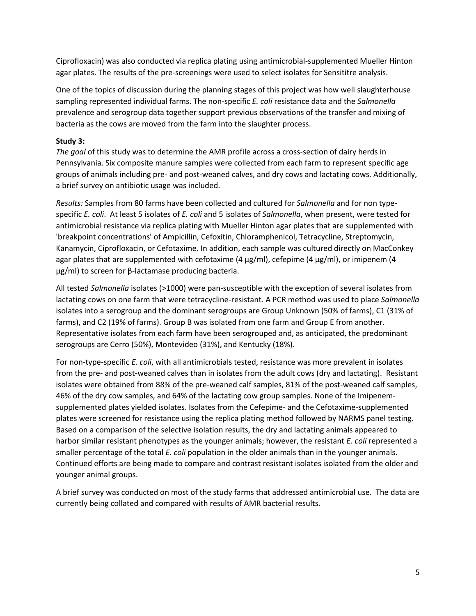Ciprofloxacin) was also conducted via replica plating using antimicrobial-supplemented Mueller Hinton agar plates. The results of the pre-screenings were used to select isolates for Sensititre analysis.

One of the topics of discussion during the planning stages of this project was how well slaughterhouse sampling represented individual farms. The non-specific *E. coli* resistance data and the *Salmonella* prevalence and serogroup data together support previous observations of the transfer and mixing of bacteria as the cows are moved from the farm into the slaughter process.

#### **Study 3:**

*The goal* of this study was to determine the AMR profile across a cross-section of dairy herds in Pennsylvania. Six composite manure samples were collected from each farm to represent specific age groups of animals including pre- and post-weaned calves, and dry cows and lactating cows. Additionally, a brief survey on antibiotic usage was included.

*Results:* Samples from 80 farms have been collected and cultured for *Salmonella* and for non typespecific *E. coli*. At least 5 isolates of *E. coli* and 5 isolates of *Salmonella*, when present, were tested for antimicrobial resistance via replica plating with Mueller Hinton agar plates that are supplemented with 'breakpoint concentrations' of Ampicillin, Cefoxitin, Chloramphenicol, Tetracycline, Streptomycin, Kanamycin, Ciprofloxacin, or Cefotaxime. In addition, each sample was cultured directly on MacConkey agar plates that are supplemented with cefotaxime (4  $\mu$ g/ml), cefepime (4  $\mu$ g/ml), or imipenem (4 µg/ml) to screen for β-lactamase producing bacteria.

All tested *Salmonella* isolates (>1000) were pan-susceptible with the exception of several isolates from lactating cows on one farm that were tetracycline-resistant. A PCR method was used to place *Salmonella* isolates into a serogroup and the dominant serogroups are Group Unknown (50% of farms), C1 (31% of farms), and C2 (19% of farms). Group B was isolated from one farm and Group E from another. Representative isolates from each farm have been serogrouped and, as anticipated, the predominant serogroups are Cerro (50%), Montevideo (31%), and Kentucky (18%).

For non-type-specific *E. coli*, with all antimicrobials tested, resistance was more prevalent in isolates from the pre- and post-weaned calves than in isolates from the adult cows (dry and lactating). Resistant isolates were obtained from 88% of the pre-weaned calf samples, 81% of the post-weaned calf samples, 46% of the dry cow samples, and 64% of the lactating cow group samples. None of the Imipenemsupplemented plates yielded isolates. Isolates from the Cefepime- and the Cefotaxime-supplemented plates were screened for resistance using the replica plating method followed by NARMS panel testing. Based on a comparison of the selective isolation results, the dry and lactating animals appeared to harbor similar resistant phenotypes as the younger animals; however, the resistant *E. coli* represented a smaller percentage of the total *E. coli* population in the older animals than in the younger animals. Continued efforts are being made to compare and contrast resistant isolates isolated from the older and younger animal groups.

A brief survey was conducted on most of the study farms that addressed antimicrobial use. The data are currently being collated and compared with results of AMR bacterial results.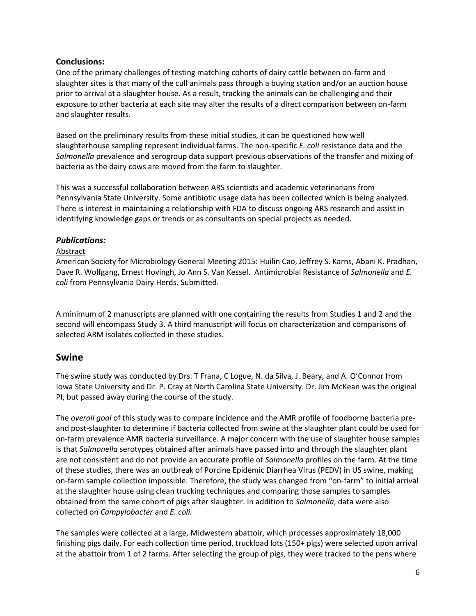## **Conclusions:**

One of the primary challenges of testing matching cohorts of dairy cattle between on-farm and slaughter sites is that many of the cull animals pass through a buying station and/or an auction house prior to arrival at a slaughter house. As a result, tracking the animals can be challenging and their exposure to other bacteria at each site may alter the results of a direct comparison between on-farm and slaughter results.

Based on the preliminary results from these initial studies, it can be questioned how well slaughterhouse sampling represent individual farms. The non-specific *E. coli* resistance data and the *Salmonella* prevalence and serogroup data support previous observations of the transfer and mixing of bacteria as the dairy cows are moved from the farm to slaughter.

This was a successful collaboration between ARS scientists and academic veterinarians from Pennsylvania State University. Some antibiotic usage data has been collected which is being analyzed. There is interest in maintaining a relationship with FDA to discuss ongoing ARS research and assist in identifying knowledge gaps or trends or as consultants on special projects as needed.

#### *Publications:*

#### Abstract

American Society for Microbiology General Meeting 2015: Huilin Cao, Jeffrey S. Karns, Abani K. Pradhan, Dave R. Wolfgang, Ernest Hovingh, Jo Ann S. Van Kessel. Antimicrobial Resistance of *Salmonella* and *E. coli* from Pennsylvania Dairy Herds. Submitted.

A minimum of 2 manuscripts are planned with one containing the results from Studies 1 and 2 and the second will encompass Study 3. A third manuscript will focus on characterization and comparisons of selected ARM isolates collected in these studies.

## **Swine**

The swine study was conducted by Drs. T Frana, C Logue, N. da Silva, J. Beary, and A. O'Connor from Iowa State University and Dr. P. Cray at North Carolina State University. Dr. Jim McKean was the original PI, but passed away during the course of the study.

The *overall goal* of this study was to compare incidence and the AMR profile of foodborne bacteria preand post-slaughter to determine if bacteria collected from swine at the slaughter plant could be used for on-farm prevalence AMR bacteria surveillance. A major concern with the use of slaughter house samples is that *Salmonella* serotypes obtained after animals have passed into and through the slaughter plant are not consistent and do not provide an accurate profile of *Salmonella* profiles on the farm. At the time of these studies, there was an outbreak of Porcine Epidemic Diarrhea Virus (PEDV) in US swine, making on-farm sample collection impossible. Therefore, the study was changed from "on-farm" to initial arrival at the slaughter house using clean trucking techniques and comparing those samples to samples obtained from the same cohort of pigs after slaughter. In addition to *Salmonella*, data were also collected on *Campylobacter* and *E. coli.*

The samples were collected at a large, Midwestern abattoir, which processes approximately 18,000 finishing pigs daily. For each collection time period, truckload lots (150+ pigs) were selected upon arrival at the abattoir from 1 of 2 farms. After selecting the group of pigs, they were tracked to the pens where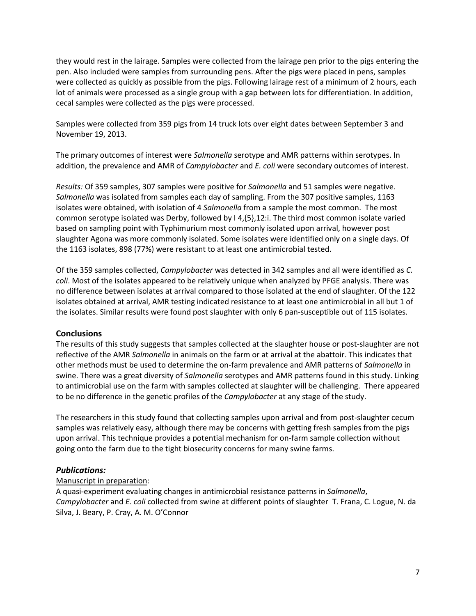they would rest in the lairage. Samples were collected from the lairage pen prior to the pigs entering the pen. Also included were samples from surrounding pens. After the pigs were placed in pens, samples were collected as quickly as possible from the pigs. Following lairage rest of a minimum of 2 hours, each lot of animals were processed as a single group with a gap between lots for differentiation. In addition, cecal samples were collected as the pigs were processed.

Samples were collected from 359 pigs from 14 truck lots over eight dates between September 3 and November 19, 2013.

The primary outcomes of interest were *Salmonella* serotype and AMR patterns within serotypes. In addition, the prevalence and AMR of *Campylobacter* and *E. coli* were secondary outcomes of interest.

*Results:* Of 359 samples, 307 samples were positive for *Salmonella* and 51 samples were negative. *Salmonella* was isolated from samples each day of sampling. From the 307 positive samples, 1163 isolates were obtained, with isolation of 4 *Salmonella* from a sample the most common. The most common serotype isolated was Derby, followed by I 4,{5},12:i. The third most common isolate varied based on sampling point with Typhimurium most commonly isolated upon arrival, however post slaughter Agona was more commonly isolated. Some isolates were identified only on a single days. Of the 1163 isolates, 898 (77%) were resistant to at least one antimicrobial tested.

Of the 359 samples collected, *Campylobacter* was detected in 342 samples and all were identified as *C. coli*. Most of the isolates appeared to be relatively unique when analyzed by PFGE analysis. There was no difference between isolates at arrival compared to those isolated at the end of slaughter. Of the 122 isolates obtained at arrival, AMR testing indicated resistance to at least one antimicrobial in all but 1 of the isolates. Similar results were found post slaughter with only 6 pan-susceptible out of 115 isolates.

## **Conclusions**

The results of this study suggests that samples collected at the slaughter house or post-slaughter are not reflective of the AMR *Salmonella* in animals on the farm or at arrival at the abattoir. This indicates that other methods must be used to determine the on-farm prevalence and AMR patterns of *Salmonella* in swine. There was a great diversity of *Salmonella* serotypes and AMR patterns found in this study. Linking to antimicrobial use on the farm with samples collected at slaughter will be challenging. There appeared to be no difference in the genetic profiles of the *Campylobacter* at any stage of the study.

The researchers in this study found that collecting samples upon arrival and from post-slaughter cecum samples was relatively easy, although there may be concerns with getting fresh samples from the pigs upon arrival. This technique provides a potential mechanism for on-farm sample collection without going onto the farm due to the tight biosecurity concerns for many swine farms.

## *Publications:*

#### Manuscript in preparation:

A quasi-experiment evaluating changes in antimicrobial resistance patterns in *Salmonella*, *Campylobacter* and *E. coli* collected from swine at different points of slaughter T. Frana, C. Logue, N. da Silva, J. Beary, P. Cray, A. M. O'Connor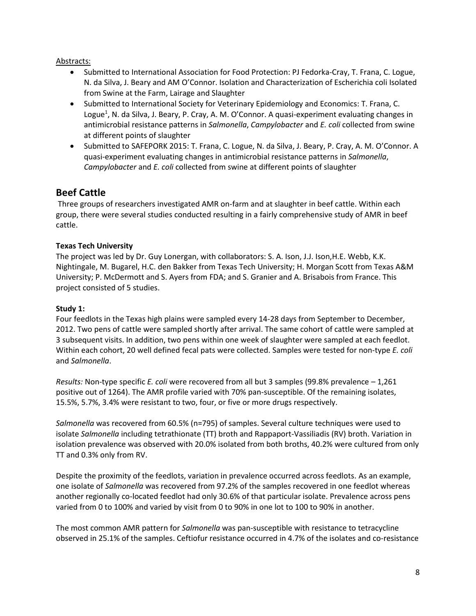#### Abstracts:

- Submitted to International Association for Food Protection: PJ Fedorka-Cray, T. Frana, C. Logue, N. da Silva, J. Beary and AM O'Connor. Isolation and Characterization of Escherichia coli Isolated from Swine at the Farm, Lairage and Slaughter
- Submitted to International Society for Veterinary Epidemiology and Economics: T. Frana, C. Logue<sup>1</sup>, N. da Silva, J. Beary, P. Cray, A. M. O'Connor. A quasi-experiment evaluating changes in antimicrobial resistance patterns in *Salmonella*, *Campylobacter* and *E. coli* collected from swine at different points of slaughter
- Submitted to SAFEPORK 2015: T. Frana, C. Logue, N. da Silva, J. Beary, P. Cray, A. M. O'Connor. A quasi-experiment evaluating changes in antimicrobial resistance patterns in *Salmonella*, *Campylobacter* and *E. coli* collected from swine at different points of slaughter

## **Beef Cattle**

Three groups of researchers investigated AMR on-farm and at slaughter in beef cattle. Within each group, there were several studies conducted resulting in a fairly comprehensive study of AMR in beef cattle.

#### **Texas Tech University**

The project was led by Dr. Guy Lonergan, with collaborators: S. A. Ison, J.J. Ison,H.E. Webb, K.K. Nightingale, M. Bugarel, H.C. den Bakker from Texas Tech University; H. Morgan Scott from Texas A&M University; P. McDermott and S. Ayers from FDA; and S. Granier and A. Brisabois from France. This project consisted of 5 studies.

#### **Study 1:**

Four feedlots in the Texas high plains were sampled every 14-28 days from September to December, 2012. Two pens of cattle were sampled shortly after arrival. The same cohort of cattle were sampled at 3 subsequent visits. In addition, two pens within one week of slaughter were sampled at each feedlot. Within each cohort, 20 well defined fecal pats were collected. Samples were tested for non-type *E. coli* and *Salmonella*.

*Results:* Non-type specific *E. coli* were recovered from all but 3 samples (99.8% prevalence – 1,261 positive out of 1264). The AMR profile varied with 70% pan-susceptible. Of the remaining isolates, 15.5%, 5.7%, 3.4% were resistant to two, four, or five or more drugs respectively.

*Salmonella* was recovered from 60.5% (n=795) of samples. Several culture techniques were used to isolate *Salmonella* including tetrathionate (TT) broth and Rappaport-Vassiliadis (RV) broth. Variation in isolation prevalence was observed with 20.0% isolated from both broths, 40.2% were cultured from only TT and 0.3% only from RV.

Despite the proximity of the feedlots, variation in prevalence occurred across feedlots. As an example, one isolate of *Salmonella* was recovered from 97.2% of the samples recovered in one feedlot whereas another regionally co-located feedlot had only 30.6% of that particular isolate. Prevalence across pens varied from 0 to 100% and varied by visit from 0 to 90% in one lot to 100 to 90% in another.

The most common AMR pattern for *Salmonella* was pan-susceptible with resistance to tetracycline observed in 25.1% of the samples. Ceftiofur resistance occurred in 4.7% of the isolates and co-resistance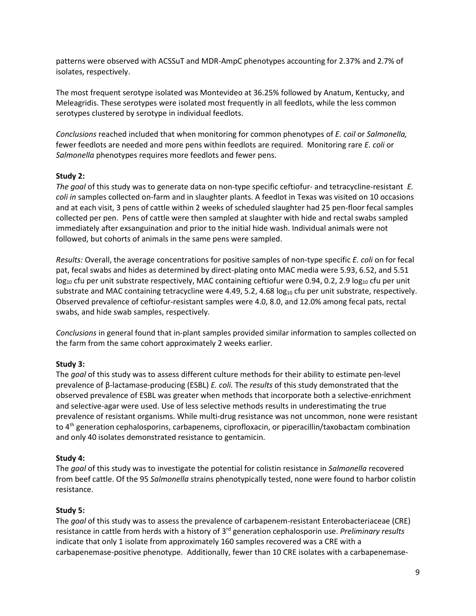patterns were observed with ACSSuT and MDR-AmpC phenotypes accounting for 2.37% and 2.7% of isolates, respectively.

The most frequent serotype isolated was Montevideo at 36.25% followed by Anatum, Kentucky, and Meleagridis. These serotypes were isolated most frequently in all feedlots, while the less common serotypes clustered by serotype in individual feedlots.

*Conclusions* reached included that when monitoring for common phenotypes of *E. coil* or *Salmonella,* fewer feedlots are needed and more pens within feedlots are required. Monitoring rare *E. coli* or *Salmonella* phenotypes requires more feedlots and fewer pens.

#### **Study 2:**

*The goal* of this study was to generate data on non-type specific ceftiofur- and tetracycline-resistant *E. coli in* samples collected on-farm and in slaughter plants. A feedlot in Texas was visited on 10 occasions and at each visit, 3 pens of cattle within 2 weeks of scheduled slaughter had 25 pen-floor fecal samples collected per pen. Pens of cattle were then sampled at slaughter with hide and rectal swabs sampled immediately after exsanguination and prior to the initial hide wash. Individual animals were not followed, but cohorts of animals in the same pens were sampled.

*Results:* Overall, the average concentrations for positive samples of non-type specific *E. coli* on for fecal pat, fecal swabs and hides as determined by direct-plating onto MAC media were 5.93, 6.52, and 5.51  $log_{10}$  cfu per unit substrate respectively, MAC containing ceftiofur were 0.94, 0.2, 2.9  $log_{10}$  cfu per unit substrate and MAC containing tetracycline were 4.49, 5.2, 4.68  $log_{10}$  cfu per unit substrate, respectively. Observed prevalence of ceftiofur-resistant samples were 4.0, 8.0, and 12.0% among fecal pats, rectal swabs, and hide swab samples, respectively.

*Conclusions* in general found that in-plant samples provided similar information to samples collected on the farm from the same cohort approximately 2 weeks earlier.

## **Study 3:**

The *goal* of this study was to assess different culture methods for their ability to estimate pen-level prevalence of β-lactamase-producing (ESBL) *E. coli.* The *results* of this study demonstrated that the observed prevalence of ESBL was greater when methods that incorporate both a selective-enrichment and selective-agar were used. Use of less selective methods results in underestimating the true prevalence of resistant organisms. While multi-drug resistance was not uncommon, none were resistant to 4<sup>th</sup> generation cephalosporins, carbapenems, ciprofloxacin, or piperacillin/taxobactam combination and only 40 isolates demonstrated resistance to gentamicin.

## **Study 4:**

The *goal* of this study was to investigate the potential for colistin resistance in *Salmonella* recovered from beef cattle. Of the 95 *Salmonella* strains phenotypically tested, none were found to harbor colistin resistance.

## **Study 5:**

The *goal* of this study was to assess the prevalence of carbapenem-resistant Enterobacteriaceae (CRE) resistance in cattle from herds with a history of 3rd generation cephalosporin use. *Preliminary results* indicate that only 1 isolate from approximately 160 samples recovered was a CRE with a carbapenemase-positive phenotype. Additionally, fewer than 10 CRE isolates with a carbapenemase-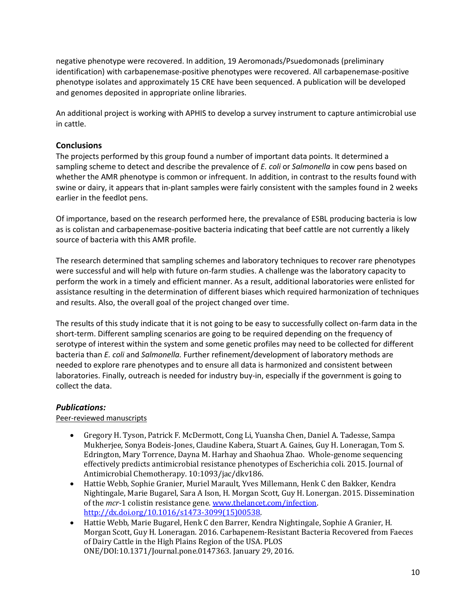negative phenotype were recovered. In addition, 19 Aeromonads/Psuedomonads (preliminary identification) with carbapenemase-positive phenotypes were recovered. All carbapenemase-positive phenotype isolates and approximately 15 CRE have been sequenced. A publication will be developed and genomes deposited in appropriate online libraries.

An additional project is working with APHIS to develop a survey instrument to capture antimicrobial use in cattle.

## **Conclusions**

The projects performed by this group found a number of important data points. It determined a sampling scheme to detect and describe the prevalence of *E. coli* or *Salmonella* in cow pens based on whether the AMR phenotype is common or infrequent. In addition, in contrast to the results found with swine or dairy, it appears that in-plant samples were fairly consistent with the samples found in 2 weeks earlier in the feedlot pens.

Of importance, based on the research performed here, the prevalance of ESBL producing bacteria is low as is colistan and carbapenemase-positive bacteria indicating that beef cattle are not currently a likely source of bacteria with this AMR profile.

The research determined that sampling schemes and laboratory techniques to recover rare phenotypes were successful and will help with future on-farm studies. A challenge was the laboratory capacity to perform the work in a timely and efficient manner. As a result, additional laboratories were enlisted for assistance resulting in the determination of different biases which required harmonization of techniques and results. Also, the overall goal of the project changed over time.

The results of this study indicate that it is not going to be easy to successfully collect on-farm data in the short-term. Different sampling scenarios are going to be required depending on the frequency of serotype of interest within the system and some genetic profiles may need to be collected for different bacteria than *E. coli* and *Salmonella.* Further refinement/development of laboratory methods are needed to explore rare phenotypes and to ensure all data is harmonized and consistent between laboratories. Finally, outreach is needed for industry buy-in, especially if the government is going to collect the data.

## *Publications:*

Peer-reviewed manuscripts

- Gregory H. Tyson, Patrick F. McDermott, Cong Li, Yuansha Chen, Daniel A. Tadesse, Sampa Mukherjee, Sonya Bodeis-Jones, Claudine Kabera, Stuart A. Gaines, Guy H. Loneragan, Tom S. Edrington, Mary Torrence, Dayna M. Harhay and Shaohua Zhao. Whole-genome sequencing effectively predicts antimicrobial resistance phenotypes of Escherichia coli. 2015. Journal of Antimicrobial Chemotherapy. 10:1093/jac/dkv186.
- Hattie Webb, Sophie Granier, Muriel Marault, Yves Millemann, Henk C den Bakker, Kendra Nightingale, Marie Bugarel, Sara A Ison, H. Morgan Scott, Guy H. Lonergan. 2015. Dissemination of the *mcr-*1 colistin resistance gene[. www.thelancet.com/infection.](http://www.thelancet.com/infection)  [http://dx.doi.org/10.1016/s1473-3099\(15\)00538.](http://dx.doi.org/10.1016/s1473-3099(15)00538)
- Hattie Webb, Marie Bugarel, Henk C den Barrer, Kendra Nightingale, Sophie A Granier, H. Morgan Scott, Guy H. Loneragan. 2016. Carbapenem-Resistant Bacteria Recovered from Faeces of Dairy Cattle in the High Plains Region of the USA. PLOS ONE/DOI:10.1371/Journal.pone.0147363. January 29, 2016.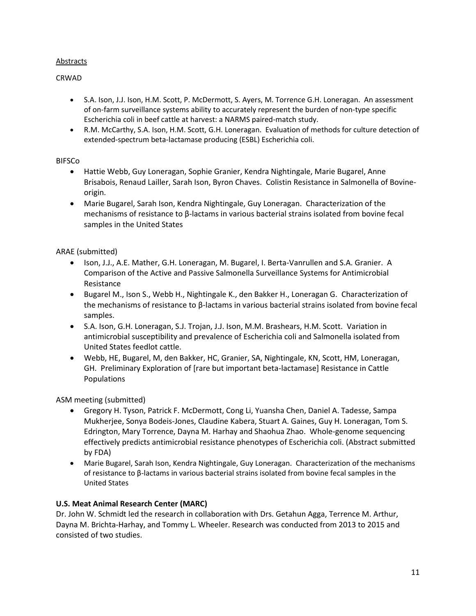#### **Abstracts**

#### CRWAD

- S.A. Ison, J.J. Ison, H.M. Scott, P. McDermott, S. Ayers, M. Torrence G.H. Loneragan. An assessment of on-farm surveillance systems ability to accurately represent the burden of non-type specific Escherichia coli in beef cattle at harvest: a NARMS paired-match study.
- R.M. McCarthy, S.A. Ison, H.M. Scott, G.H. Loneragan. Evaluation of methods for culture detection of extended-spectrum beta-lactamase producing (ESBL) Escherichia coli.

#### BIFSCo

- Hattie Webb, Guy Loneragan, Sophie Granier, Kendra Nightingale, Marie Bugarel, Anne Brisabois, Renaud Lailler, Sarah Ison, Byron Chaves. Colistin Resistance in Salmonella of Bovineorigin.
- Marie Bugarel, Sarah Ison, Kendra Nightingale, Guy Loneragan. Characterization of the mechanisms of resistance to β-lactams in various bacterial strains isolated from bovine fecal samples in the United States

## ARAE (submitted)

- Ison, J.J., A.E. Mather, G.H. Loneragan, M. Bugarel, I. Berta-Vanrullen and S.A. Granier. A Comparison of the Active and Passive Salmonella Surveillance Systems for Antimicrobial Resistance
- Bugarel M., Ison S., Webb H., Nightingale K., den Bakker H., Loneragan G. Characterization of the mechanisms of resistance to β-lactams in various bacterial strains isolated from bovine fecal samples.
- S.A. Ison, G.H. Loneragan, S.J. Trojan, J.J. Ison, M.M. Brashears, H.M. Scott. Variation in antimicrobial susceptibility and prevalence of Escherichia coli and Salmonella isolated from United States feedlot cattle.
- Webb, HE, Bugarel, M, den Bakker, HC, Granier, SA, Nightingale, KN, Scott, HM, Loneragan, GH. Preliminary Exploration of [rare but important beta-lactamase] Resistance in Cattle Populations

ASM meeting (submitted)

- Gregory H. Tyson, Patrick F. McDermott, Cong Li, Yuansha Chen, Daniel A. Tadesse, Sampa Mukherjee, Sonya Bodeis-Jones, Claudine Kabera, Stuart A. Gaines, Guy H. Loneragan, Tom S. Edrington, Mary Torrence, Dayna M. Harhay and Shaohua Zhao. Whole-genome sequencing effectively predicts antimicrobial resistance phenotypes of Escherichia coli. (Abstract submitted by FDA)
- Marie Bugarel, Sarah Ison, Kendra Nightingale, Guy Loneragan. Characterization of the mechanisms of resistance to β-lactams in various bacterial strains isolated from bovine fecal samples in the United States

## **U.S. Meat Animal Research Center (MARC)**

Dr. John W. Schmidt led the research in collaboration with Drs. Getahun Agga, Terrence M. Arthur, Dayna M. Brichta-Harhay, and Tommy L. Wheeler. Research was conducted from 2013 to 2015 and consisted of two studies.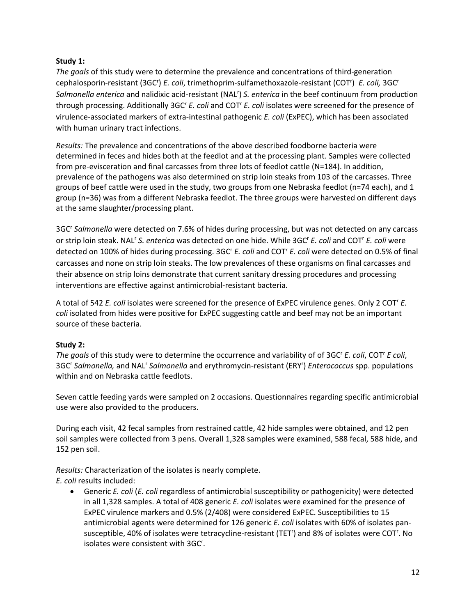#### **Study 1:**

*The goals* of this study were to determine the prevalence and concentrations of third-generation cephalosporin-resistant (3GC') E. coli, trimethoprim-sulfamethoxazole-resistant (COT') E. coli, 3GC' Salmonella enterica and nalidixic acid-resistant (NAL<sup>r</sup>) S. enterica in the beef continuum from production through processing. Additionally 3GC<sup>r</sup> *E. coli* and COT<sup>r</sup> *E. coli* isolates were screened for the presence of virulence-associated markers of extra-intestinal pathogenic *E. coli* (ExPEC), which has been associated with human urinary tract infections.

*Results:* The prevalence and concentrations of the above described foodborne bacteria were determined in feces and hides both at the feedlot and at the processing plant. Samples were collected from pre-evisceration and final carcasses from three lots of feedlot cattle (N=184). In addition, prevalence of the pathogens was also determined on strip loin steaks from 103 of the carcasses. Three groups of beef cattle were used in the study, two groups from one Nebraska feedlot (n=74 each), and 1 group (n=36) was from a different Nebraska feedlot. The three groups were harvested on different days at the same slaughter/processing plant.

3GC<sup>r</sup> Salmonella were detected on 7.6% of hides during processing, but was not detected on any carcass or strip loin steak. NAL<sup>r</sup> S. enterica was detected on one hide. While 3GC<sup>r</sup> *E. coli* and COT<sup>r</sup> *E. coli* were detected on 100% of hides during processing. 3GC<sup>r</sup> *E. coli* and COT<sup>r</sup> *E. coli* were detected on 0.5% of final carcasses and none on strip loin steaks. The low prevalences of these organisms on final carcasses and their absence on strip loins demonstrate that current sanitary dressing procedures and processing interventions are effective against antimicrobial-resistant bacteria.

A total of 542 *E. coli* isolates were screened for the presence of ExPEC virulence genes. Only 2 COT<sup>r</sup> *E. coli* isolated from hides were positive for ExPEC suggesting cattle and beef may not be an important source of these bacteria.

## **Study 2:**

*The goals* of this study were to determine the occurrence and variability of of 3GC<sup>r</sup> *E. coli*, COT<sup>r</sup> *E coli*, 3GC<sup>r</sup> Salmonella, and NAL<sup>r</sup> Salmonella and erythromycin-resistant (ERY<sup>r</sup>) *Enterococcus* spp. populations within and on Nebraska cattle feedlots.

Seven cattle feeding yards were sampled on 2 occasions. Questionnaires regarding specific antimicrobial use were also provided to the producers.

During each visit, 42 fecal samples from restrained cattle, 42 hide samples were obtained, and 12 pen soil samples were collected from 3 pens. Overall 1,328 samples were examined, 588 fecal, 588 hide, and 152 pen soil.

*Results:* Characterization of the isolates is nearly complete.

*E. coli* results included:

 Generic *E. coli* (*E. coli* regardless of antimicrobial susceptibility or pathogenicity) were detected in all 1,328 samples. A total of 408 generic *E. coli* isolates were examined for the presence of ExPEC virulence markers and 0.5% (2/408) were considered ExPEC. Susceptibilities to 15 antimicrobial agents were determined for 126 generic *E. coli* isolates with 60% of isolates pansusceptible, 40% of isolates were tetracycline-resistant (TET<sup>r</sup>) and 8% of isolates were COT<sup>r</sup>. No isolates were consistent with 3GC<sup>r</sup>.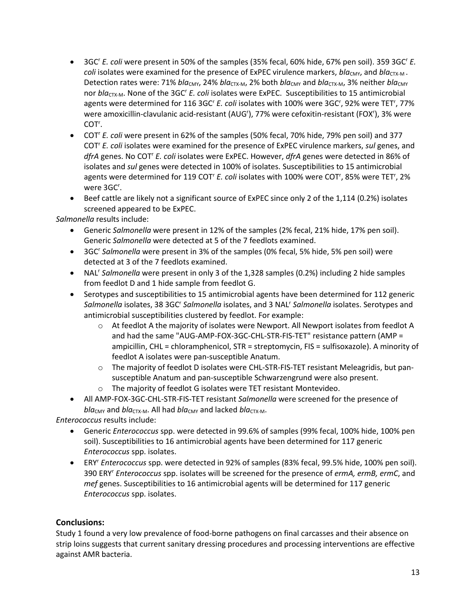- 3GC<sup>r</sup> *E. coli* were present in 50% of the samples (35% fecal, 60% hide, 67% pen soil). 359 3GC<sup>r</sup> *E. coli* isolates were examined for the presence of ExPEC virulence markers, *bla<sub>CMY</sub>*, and *bla<sub>CTX-M</sub>*. Detection rates were: 71% *bla<sub>CMY</sub>*, 24% *bla<sub>CTX-M</sub>*, 2% both *bla<sub>CMY</sub>* and *bla<sub>CTX-M</sub>*, 3% neither *bla<sub>CMY</sub>* nor *bla*<sub>CTX-M</sub>. None of the 3GC<sup>r</sup> *E. coli* isolates were ExPEC. Susceptibilities to 15 antimicrobial agents were determined for 116 3GC<sup>r</sup> E. coli isolates with 100% were 3GC<sup>r</sup>, 92% were TET<sup>r</sup>, 77% were amoxicillin-clavulanic acid-resistant (AUG'), 77% were cefoxitin-resistant (FOX'), 3% were COT<sup>r</sup>.
- COT<sup>r</sup> *E. coli* were present in 62% of the samples (50% fecal, 70% hide, 79% pen soil) and 377 COT<sup>r</sup> *E. coli* isolates were examined for the presence of ExPEC virulence markers, *sul* genes, and dfrA genes. No COT<sup>'</sup> *E. coli* isolates were ExPEC. However, *dfrA* genes were detected in 86% of isolates and *sul* genes were detected in 100% of isolates. Susceptibilities to 15 antimicrobial agents were determined for 119 COT<sup>r</sup> E. coli isolates with 100% were COT<sup>r</sup>, 85% were TET<sup>r</sup>, 2% were 3GC<sup>r</sup>.
- Beef cattle are likely not a significant source of ExPEC since only 2 of the 1,114 (0.2%) isolates screened appeared to be ExPEC.

*Salmonella* results include:

- Generic *Salmonella* were present in 12% of the samples (2% fecal, 21% hide, 17% pen soil). Generic *Salmonella* were detected at 5 of the 7 feedlots examined.
- 3GC<sup>r</sup> Salmonella were present in 3% of the samples (0% fecal, 5% hide, 5% pen soil) were detected at 3 of the 7 feedlots examined.
- NAL<sup>r</sup> Salmonella were present in only 3 of the 1,328 samples (0.2%) including 2 hide samples from feedlot D and 1 hide sample from feedlot G.
- Serotypes and susceptibilities to 15 antimicrobial agents have been determined for 112 generic Salmonella isolates, 38 3GC<sup>r</sup> Salmonella isolates, and 3 NAL<sup>r</sup> Salmonella isolates. Serotypes and antimicrobial susceptibilities clustered by feedlot. For example:
	- o At feedlot A the majority of isolates were Newport. All Newport isolates from feedlot A and had the same "AUG-AMP-FOX-3GC-CHL-STR-FIS-TET" resistance pattern (AMP = ampicillin, CHL = chloramphenicol, STR = streptomycin, FIS = sulfisoxazole). A minority of feedlot A isolates were pan-susceptible Anatum.
	- o The majority of feedlot D isolates were CHL-STR-FIS-TET resistant Meleagridis, but pansusceptible Anatum and pan-susceptible Schwarzengrund were also present.
	- o The majority of feedlot G isolates were TET resistant Montevideo.
- All AMP-FOX-3GC-CHL-STR-FIS-TET resistant *Salmonella* were screened for the presence of  $bla_{CMY}$  and  $bla_{CTX-M}$ . All had  $bla_{CMY}$  and lacked  $bla_{CTX-M}$ .

*Enterococcus* results include:

- Generic *Enterococcus* spp. were detected in 99.6% of samples (99% fecal, 100% hide, 100% pen soil). Susceptibilities to 16 antimicrobial agents have been determined for 117 generic *Enterococcus* spp. isolates.
- ERY<sup>r</sup> *Enterococcus* spp. were detected in 92% of samples (83% fecal, 99.5% hide, 100% pen soil). 390 ERY<sup>r</sup> *Enterococcus* spp. isolates will be screened for the presence of *ermA, ermB, ermC*, and *mef* genes. Susceptibilities to 16 antimicrobial agents will be determined for 117 generic *Enterococcus* spp. isolates.

#### **Conclusions:**

Study 1 found a very low prevalence of food-borne pathogens on final carcasses and their absence on strip loins suggests that current sanitary dressing procedures and processing interventions are effective against AMR bacteria.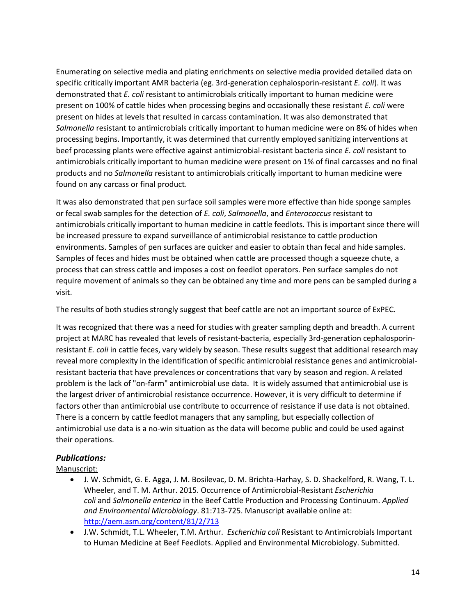Enumerating on selective media and plating enrichments on selective media provided detailed data on specific critically important AMR bacteria (eg. 3rd-generation cephalosporin-resistant *E. coli*). It was demonstrated that *E. coli* resistant to antimicrobials critically important to human medicine were present on 100% of cattle hides when processing begins and occasionally these resistant *E. coli* were present on hides at levels that resulted in carcass contamination. It was also demonstrated that *Salmonella* resistant to antimicrobials critically important to human medicine were on 8% of hides when processing begins. Importantly, it was determined that currently employed sanitizing interventions at beef processing plants were effective against antimicrobial-resistant bacteria since *E. coli* resistant to antimicrobials critically important to human medicine were present on 1% of final carcasses and no final products and no *Salmonella* resistant to antimicrobials critically important to human medicine were found on any carcass or final product.

It was also demonstrated that pen surface soil samples were more effective than hide sponge samples or fecal swab samples for the detection of *E. coli*, *Salmonella*, and *Enterococcus* resistant to antimicrobials critically important to human medicine in cattle feedlots. This is important since there will be increased pressure to expand surveillance of antimicrobial resistance to cattle production environments. Samples of pen surfaces are quicker and easier to obtain than fecal and hide samples. Samples of feces and hides must be obtained when cattle are processed though a squeeze chute, a process that can stress cattle and imposes a cost on feedlot operators. Pen surface samples do not require movement of animals so they can be obtained any time and more pens can be sampled during a visit.

The results of both studies strongly suggest that beef cattle are not an important source of ExPEC.

It was recognized that there was a need for studies with greater sampling depth and breadth. A current project at MARC has revealed that levels of resistant-bacteria, especially 3rd-generation cephalosporinresistant *E. coli* in cattle feces, vary widely by season. These results suggest that additional research may reveal more complexity in the identification of specific antimicrobial resistance genes and antimicrobialresistant bacteria that have prevalences or concentrations that vary by season and region. A related problem is the lack of "on-farm" antimicrobial use data. It is widely assumed that antimicrobial use is the largest driver of antimicrobial resistance occurrence. However, it is very difficult to determine if factors other than antimicrobial use contribute to occurrence of resistance if use data is not obtained. There is a concern by cattle feedlot managers that any sampling, but especially collection of antimicrobial use data is a no-win situation as the data will become public and could be used against their operations.

## *Publications:*

Manuscript:

- J. W. Schmidt, G. E. Agga, J. M. Bosilevac, D. M. Brichta-Harhay, S. D. Shackelford, R. Wang, T. L. Wheeler, and T. M. Arthur. 2015. Occurrence of Antimicrobial-Resistant *Escherichia coli* and *Salmonella enterica* in the Beef Cattle Production and Processing Continuum. *Applied and Environmental Microbiology*. 81:713-725. Manuscript available online at: <http://aem.asm.org/content/81/2/713>
- J.W. Schmidt, T.L. Wheeler, T.M. Arthur. *Escherichia coli* Resistant to Antimicrobials Important to Human Medicine at Beef Feedlots. Applied and Environmental Microbiology. Submitted.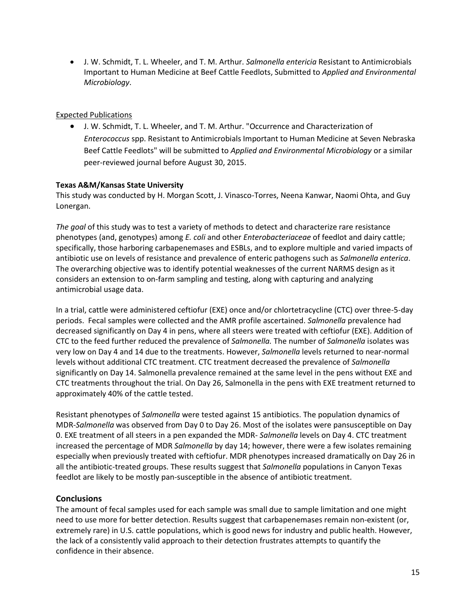J. W. Schmidt, T. L. Wheeler, and T. M. Arthur. *Salmonella entericia* Resistant to Antimicrobials Important to Human Medicine at Beef Cattle Feedlots, Submitted to *Applied and Environmental Microbiology*.

#### Expected Publications

 J. W. Schmidt, T. L. Wheeler, and T. M. Arthur. "Occurrence and Characterization of *Enterococcus* spp. Resistant to Antimicrobials Important to Human Medicine at Seven Nebraska Beef Cattle Feedlots" will be submitted to *Applied and Environmental Microbiology* or a similar peer-reviewed journal before August 30, 2015.

#### **Texas A&M/Kansas State University**

This study was conducted by H. Morgan Scott, J. Vinasco-Torres, Neena Kanwar, Naomi Ohta, and Guy Lonergan.

*The goal* of this study was to test a variety of methods to detect and characterize rare resistance phenotypes (and, genotypes) among *E. coli* and other *Enterobacteriaceae* of feedlot and dairy cattle; specifically, those harboring carbapenemases and ESBLs, and to explore multiple and varied impacts of antibiotic use on levels of resistance and prevalence of enteric pathogens such as *Salmonella enterica*. The overarching objective was to identify potential weaknesses of the current NARMS design as it considers an extension to on-farm sampling and testing, along with capturing and analyzing antimicrobial usage data.

In a trial, cattle were administered ceftiofur (EXE) once and/or chlortetracycline (CTC) over three-5-day periods. Fecal samples were collected and the AMR profile ascertained. *Salmonella* prevalence had decreased significantly on Day 4 in pens, where all steers were treated with ceftiofur (EXE). Addition of CTC to the feed further reduced the prevalence of *Salmonella.* The number of *Salmonella* isolates was very low on Day 4 and 14 due to the treatments. However, *Salmonella* levels returned to near-normal levels without additional CTC treatment. CTC treatment decreased the prevalence of *Salmonella*  significantly on Day 14. Salmonella prevalence remained at the same level in the pens without EXE and CTC treatments throughout the trial. On Day 26, Salmonella in the pens with EXE treatment returned to approximately 40% of the cattle tested.

Resistant phenotypes of *Salmonella* were tested against 15 antibiotics. The population dynamics of MDR-*Salmonella* was observed from Day 0 to Day 26. Most of the isolates were pansusceptible on Day 0. EXE treatment of all steers in a pen expanded the MDR- *Salmonella* levels on Day 4. CTC treatment increased the percentage of MDR *Salmonella* by day 14; however, there were a few isolates remaining especially when previously treated with ceftiofur. MDR phenotypes increased dramatically on Day 26 in all the antibiotic-treated groups. These results suggest that *Salmonella* populations in Canyon Texas feedlot are likely to be mostly pan-susceptible in the absence of antibiotic treatment.

## **Conclusions**

The amount of fecal samples used for each sample was small due to sample limitation and one might need to use more for better detection. Results suggest that carbapenemases remain non-existent (or, extremely rare) in U.S. cattle populations, which is good news for industry and public health. However, the lack of a consistently valid approach to their detection frustrates attempts to quantify the confidence in their absence.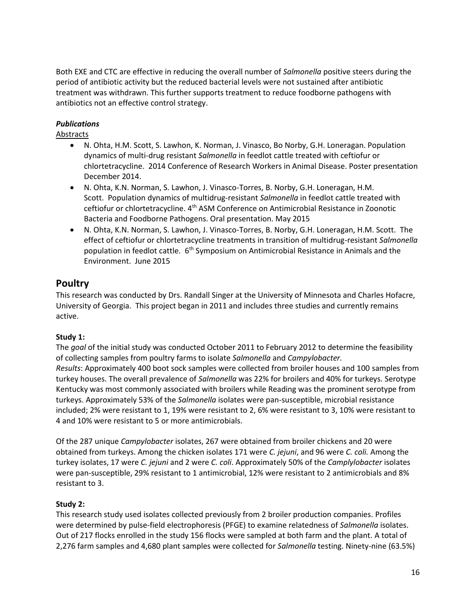Both EXE and CTC are effective in reducing the overall number of *Salmonella* positive steers during the period of antibiotic activity but the reduced bacterial levels were not sustained after antibiotic treatment was withdrawn. This further supports treatment to reduce foodborne pathogens with antibiotics not an effective control strategy.

## *Publications*

Abstracts

- N. Ohta, H.M. Scott, S. Lawhon, K. Norman, J. Vinasco, Bo Norby, G.H. Loneragan. Population dynamics of multi-drug resistant *Salmonella* in feedlot cattle treated with ceftiofur or chlortetracycline. 2014 Conference of Research Workers in Animal Disease. Poster presentation December 2014.
- N. Ohta, K.N. Norman, S. Lawhon, J. Vinasco-Torres, B. Norby, G.H. Loneragan, H.M. Scott. Population dynamics of multidrug-resistant *Salmonella* in feedlot cattle treated with ceftiofur or chlortetracycline. 4th ASM Conference on Antimicrobial Resistance in Zoonotic Bacteria and Foodborne Pathogens. Oral presentation. May 2015
- N. Ohta, K.N. Norman, S. Lawhon, J. Vinasco-Torres, B. Norby, G.H. Loneragan, H.M. Scott. The effect of ceftiofur or chlortetracycline treatments in transition of multidrug-resistant *Salmonella* population in feedlot cattle. 6<sup>th</sup> Symposium on Antimicrobial Resistance in Animals and the Environment. June 2015

## **Poultry**

This research was conducted by Drs. Randall Singer at the University of Minnesota and Charles Hofacre, University of Georgia. This project began in 2011 and includes three studies and currently remains active.

## **Study 1:**

The *goal* of the initial study was conducted October 2011 to February 2012 to determine the feasibility of collecting samples from poultry farms to isolate *Salmonella* and *Campylobacter. Results*: Approximately 400 boot sock samples were collected from broiler houses and 100 samples from turkey houses. The overall prevalence of *Salmonella* was 22% for broilers and 40% for turkeys. Serotype Kentucky was most commonly associated with broilers while Reading was the prominent serotype from turkeys. Approximately 53% of the *Salmonella* isolates were pan-susceptible, microbial resistance included; 2% were resistant to 1, 19% were resistant to 2, 6% were resistant to 3, 10% were resistant to 4 and 10% were resistant to 5 or more antimicrobials.

Of the 287 unique *Campylobacter* isolates, 267 were obtained from broiler chickens and 20 were obtained from turkeys. Among the chicken isolates 171 were *C. jejuni*, and 96 were *C. coli.* Among the turkey isolates, 17 were *C. jejuni* and 2 were *C. coli*. Approximately 50% of the *Camplylobacter* isolates were pan-susceptible, 29% resistant to 1 antimicrobial, 12% were resistant to 2 antimicrobials and 8% resistant to 3.

## **Study 2:**

This research study used isolates collected previously from 2 broiler production companies. Profiles were determined by pulse-field electrophoresis (PFGE) to examine relatedness of *Salmonella* isolates. Out of 217 flocks enrolled in the study 156 flocks were sampled at both farm and the plant. A total of 2,276 farm samples and 4,680 plant samples were collected for *Salmonella* testing. Ninety-nine (63.5%)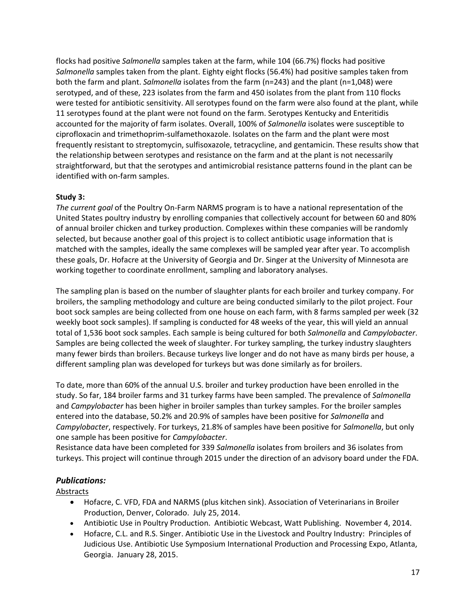flocks had positive *Salmonella* samples taken at the farm, while 104 (66.7%) flocks had positive *Salmonella* samples taken from the plant. Eighty eight flocks (56.4%) had positive samples taken from both the farm and plant. *Salmonella* isolates from the farm (n=243) and the plant (n=1,048) were serotyped, and of these, 223 isolates from the farm and 450 isolates from the plant from 110 flocks were tested for antibiotic sensitivity. All serotypes found on the farm were also found at the plant, while 11 serotypes found at the plant were not found on the farm. Serotypes Kentucky and Enteritidis accounted for the majority of farm isolates. Overall, 100% of *Salmonella* isolates were susceptible to ciprofloxacin and trimethoprim-sulfamethoxazole. Isolates on the farm and the plant were most frequently resistant to streptomycin, sulfisoxazole, tetracycline, and gentamicin. These results show that the relationship between serotypes and resistance on the farm and at the plant is not necessarily straightforward, but that the serotypes and antimicrobial resistance patterns found in the plant can be identified with on-farm samples.

## **Study 3:**

*The current goal* of the Poultry On-Farm NARMS program is to have a national representation of the United States poultry industry by enrolling companies that collectively account for between 60 and 80% of annual broiler chicken and turkey production. Complexes within these companies will be randomly selected, but because another goal of this project is to collect antibiotic usage information that is matched with the samples, ideally the same complexes will be sampled year after year. To accomplish these goals, Dr. Hofacre at the University of Georgia and Dr. Singer at the University of Minnesota are working together to coordinate enrollment, sampling and laboratory analyses.

The sampling plan is based on the number of slaughter plants for each broiler and turkey company. For broilers, the sampling methodology and culture are being conducted similarly to the pilot project. Four boot sock samples are being collected from one house on each farm, with 8 farms sampled per week (32 weekly boot sock samples). If sampling is conducted for 48 weeks of the year, this will yield an annual total of 1,536 boot sock samples. Each sample is being cultured for both *Salmonella* and *Campylobacter*. Samples are being collected the week of slaughter. For turkey sampling, the turkey industry slaughters many fewer birds than broilers. Because turkeys live longer and do not have as many birds per house, a different sampling plan was developed for turkeys but was done similarly as for broilers.

To date, more than 60% of the annual U.S. broiler and turkey production have been enrolled in the study. So far, 184 broiler farms and 31 turkey farms have been sampled. The prevalence of *Salmonella*  and *Campylobacter* has been higher in broiler samples than turkey samples. For the broiler samples entered into the database, 50.2% and 20.9% of samples have been positive for *Salmonella* and *Campylobacter*, respectively. For turkeys, 21.8% of samples have been positive for *Salmonella*, but only one sample has been positive for *Campylobacter*.

Resistance data have been completed for 339 *Salmonella* isolates from broilers and 36 isolates from turkeys. This project will continue through 2015 under the direction of an advisory board under the FDA.

## *Publications:*

Abstracts

- Hofacre, C. VFD, FDA and NARMS (plus kitchen sink). Association of Veterinarians in Broiler Production, Denver, Colorado. July 25, 2014.
- Antibiotic Use in Poultry Production. Antibiotic Webcast, Watt Publishing. November 4, 2014.
- Hofacre, C.L. and R.S. Singer. Antibiotic Use in the Livestock and Poultry Industry: Principles of Judicious Use. Antibiotic Use Symposium International Production and Processing Expo, Atlanta, Georgia. January 28, 2015.